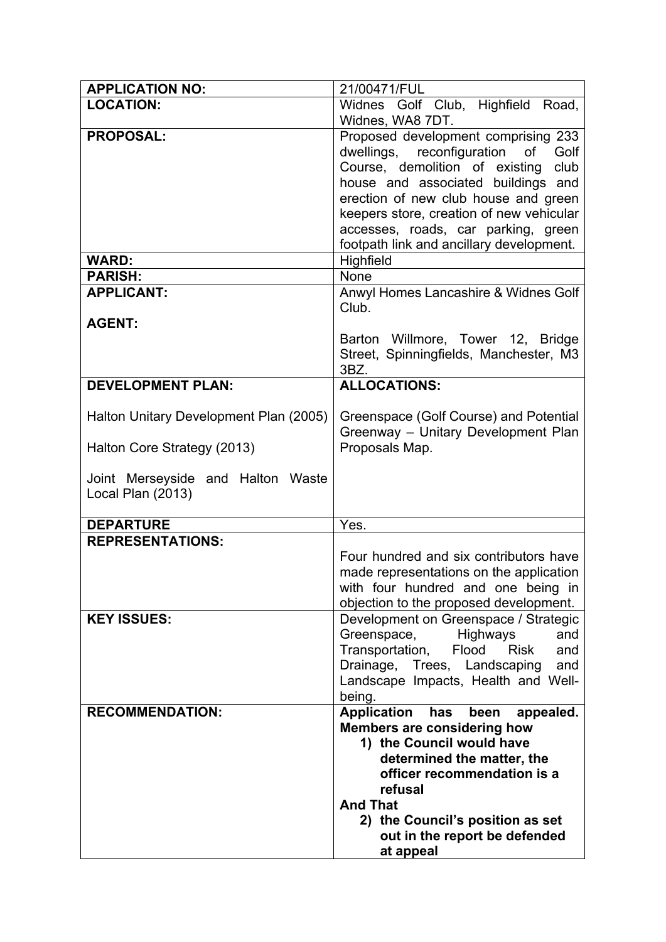| <b>APPLICATION NO:</b>                 | 21/00471/FUL                                          |
|----------------------------------------|-------------------------------------------------------|
| <b>LOCATION:</b>                       | Widnes Golf Club, Highfield Road,                     |
|                                        | Widnes, WA8 7DT.                                      |
| <b>PROPOSAL:</b>                       | Proposed development comprising 233                   |
|                                        | dwellings, reconfiguration of<br>Golf                 |
|                                        | Course, demolition of existing<br>club                |
|                                        | house and associated buildings and                    |
|                                        | erection of new club house and green                  |
|                                        | keepers store, creation of new vehicular              |
|                                        | accesses, roads, car parking, green                   |
|                                        | footpath link and ancillary development.              |
| <b>WARD:</b>                           | Highfield                                             |
| <b>PARISH:</b>                         | None                                                  |
| <b>APPLICANT:</b>                      | Anwyl Homes Lancashire & Widnes Golf                  |
|                                        | Club.                                                 |
| <b>AGENT:</b>                          |                                                       |
|                                        | Barton Willmore, Tower 12, Bridge                     |
|                                        | Street, Spinningfields, Manchester, M3                |
|                                        | 3BZ.                                                  |
| <b>DEVELOPMENT PLAN:</b>               | <b>ALLOCATIONS:</b>                                   |
|                                        |                                                       |
| Halton Unitary Development Plan (2005) | Greenspace (Golf Course) and Potential                |
|                                        | Greenway - Unitary Development Plan<br>Proposals Map. |
| Halton Core Strategy (2013)            |                                                       |
| Joint Merseyside and Halton Waste      |                                                       |
| Local Plan (2013)                      |                                                       |
|                                        |                                                       |
| <b>DEPARTURE</b>                       | Yes.                                                  |
| <b>REPRESENTATIONS:</b>                |                                                       |
|                                        | Four hundred and six contributors have                |
|                                        | made representations on the application               |
|                                        | with four hundred and one being in                    |
|                                        | objection to the proposed development.                |
| <b>KEY ISSUES:</b>                     | Development on Greenspace / Strategic                 |
|                                        | Greenspace,<br><b>Highways</b><br>and                 |
|                                        | Transportation,<br>Flood<br><b>Risk</b><br>and        |
|                                        | Drainage, Trees, Landscaping<br>and                   |
|                                        | Landscape Impacts, Health and Well-                   |
|                                        | being.                                                |
| <b>RECOMMENDATION:</b>                 | <b>Application</b><br>has<br>been<br>appealed.        |
|                                        | <b>Members are considering how</b>                    |
|                                        | 1) the Council would have                             |
|                                        | determined the matter, the                            |
|                                        | officer recommendation is a<br>refusal                |
|                                        | <b>And That</b>                                       |
|                                        | 2) the Council's position as set                      |
|                                        |                                                       |
|                                        |                                                       |
|                                        | out in the report be defended<br>at appeal            |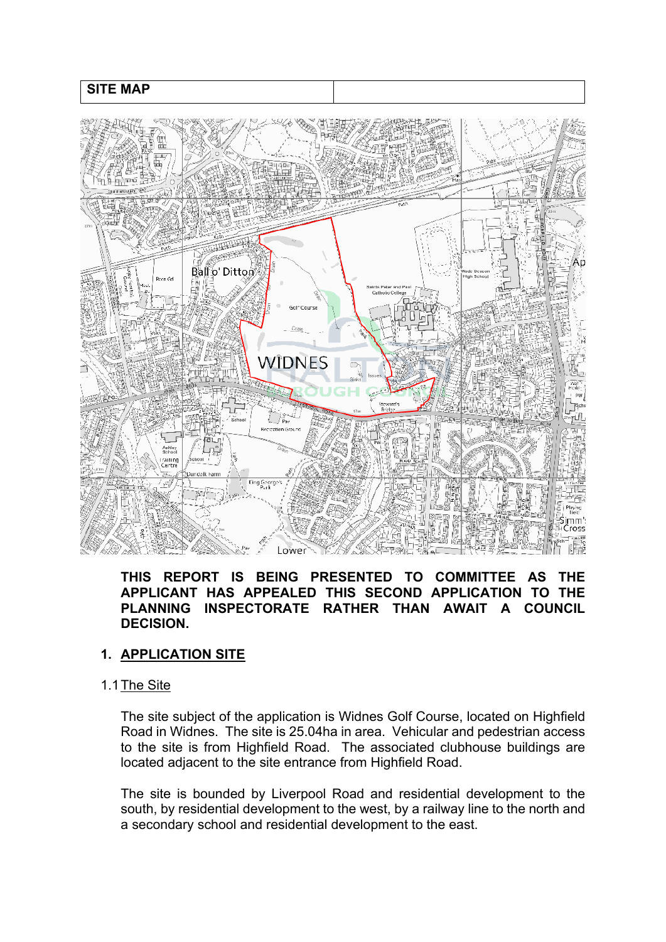### **SITE MAP**



#### **THIS REPORT IS BEING PRESENTED TO COMMITTEE AS THE APPLICANT HAS APPEALED THIS SECOND APPLICATION TO THE PLANNING INSPECTORATE RATHER THAN AWAIT A COUNCIL DECISION.**

## **1. APPLICATION SITE**

#### 1.1The Site

The site subject of the application is Widnes Golf Course, located on Highfield Road in Widnes. The site is 25.04ha in area. Vehicular and pedestrian access to the site is from Highfield Road. The associated clubhouse buildings are located adjacent to the site entrance from Highfield Road.

The site is bounded by Liverpool Road and residential development to the south, by residential development to the west, by a railway line to the north and a secondary school and residential development to the east.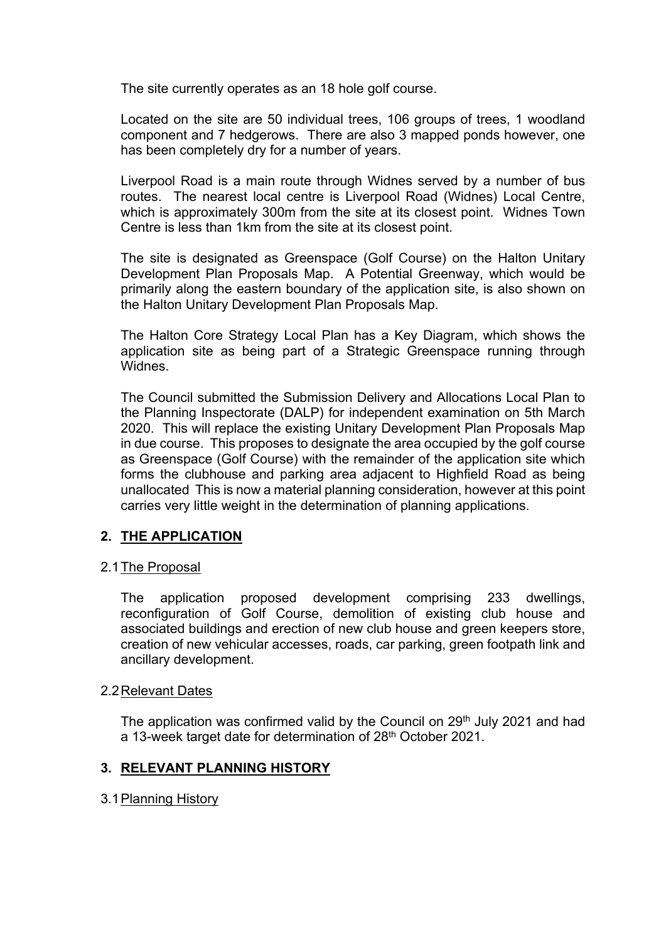The site currently operates as an 18 hole golf course.

Located on the site are 50 individual trees, 106 groups of trees, 1 woodland component and 7 hedgerows. There are also 3 mapped ponds however, one has been completely dry for a number of years.

Liverpool Road is a main route through Widnes served by a number of bus routes. The nearest local centre is Liverpool Road (Widnes) Local Centre, which is approximately 300m from the site at its closest point. Widnes Town Centre is less than 1km from the site at its closest point.

The site is designated as Greenspace (Golf Course) on the Halton Unitary Development Plan Proposals Map. A Potential Greenway, which would be primarily along the eastern boundary of the application site, is also shown on the Halton Unitary Development Plan Proposals Map.

The Halton Core Strategy Local Plan has a Key Diagram, which shows the application site as being part of a Strategic Greenspace running through Widnes.

The Council submitted the Submission Delivery and Allocations Local Plan to the Planning Inspectorate (DALP) for independent examination on 5th March 2020. This will replace the existing Unitary Development Plan Proposals Map in due course. This proposes to designate the area occupied by the golf course as Greenspace (Golf Course) with the remainder of the application site which forms the clubhouse and parking area adjacent to Highfield Road as being unallocated This is now a material planning consideration, however at this point carries very little weight in the determination of planning applications.

## **2. THE APPLICATION**

#### 2.1The Proposal

The application proposed development comprising 233 dwellings, reconfiguration of Golf Course, demolition of existing club house and associated buildings and erection of new club house and green keepers store, creation of new vehicular accesses, roads, car parking, green footpath link and ancillary development.

#### 2.2Relevant Dates

The application was confirmed valid by the Council on 29<sup>th</sup> July 2021 and had a 13-week target date for determination of 28<sup>th</sup> October 2021.

#### **3. RELEVANT PLANNING HISTORY**

#### 3.1Planning History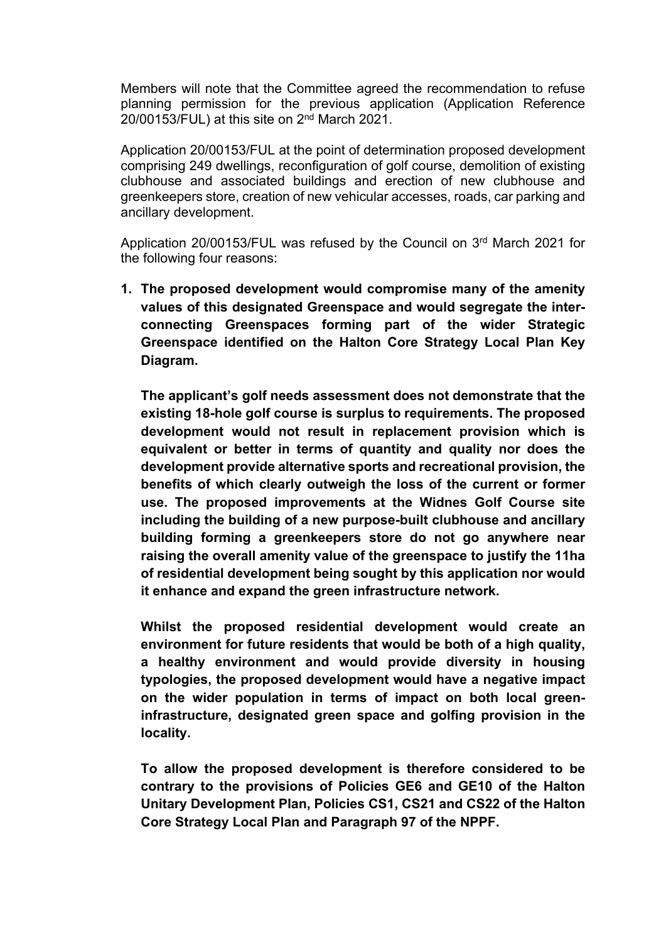Members will note that the Committee agreed the recommendation to refuse planning permission for the previous application (Application Reference  $20/00153$ /FUL) at this site on  $2<sup>nd</sup>$  March 2021.

Application 20/00153/FUL at the point of determination proposed development comprising 249 dwellings, reconfiguration of golf course, demolition of existing clubhouse and associated buildings and erection of new clubhouse and greenkeepers store, creation of new vehicular accesses, roads, car parking and ancillary development.

Application 20/00153/FUL was refused by the Council on 3<sup>rd</sup> March 2021 for the following four reasons:

**1. The proposed development would compromise many of the amenity values of this designated Greenspace and would segregate the interconnecting Greenspaces forming part of the wider Strategic Greenspace identified on the Halton Core Strategy Local Plan Key Diagram.**

**The applicant's golf needs assessment does not demonstrate that the existing 18-hole golf course is surplus to requirements. The proposed development would not result in replacement provision which is equivalent or better in terms of quantity and quality nor does the development provide alternative sports and recreational provision, the benefits of which clearly outweigh the loss of the current or former use. The proposed improvements at the Widnes Golf Course site including the building of a new purpose-built clubhouse and ancillary building forming a greenkeepers store do not go anywhere near raising the overall amenity value of the greenspace to justify the 11ha of residential development being sought by this application nor would it enhance and expand the green infrastructure network.** 

**Whilst the proposed residential development would create an environment for future residents that would be both of a high quality, a healthy environment and would provide diversity in housing typologies, the proposed development would have a negative impact on the wider population in terms of impact on both local greeninfrastructure, designated green space and golfing provision in the locality.**

**To allow the proposed development is therefore considered to be contrary to the provisions of Policies GE6 and GE10 of the Halton Unitary Development Plan, Policies CS1, CS21 and CS22 of the Halton Core Strategy Local Plan and Paragraph 97 of the NPPF.**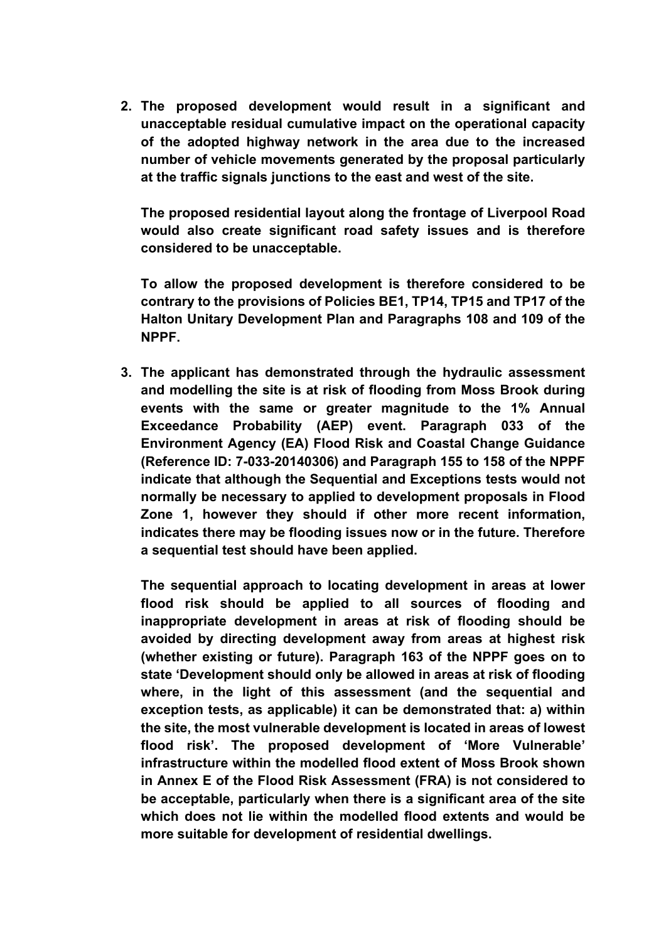**2. The proposed development would result in a significant and unacceptable residual cumulative impact on the operational capacity of the adopted highway network in the area due to the increased number of vehicle movements generated by the proposal particularly at the traffic signals junctions to the east and west of the site.**

**The proposed residential layout along the frontage of Liverpool Road would also create significant road safety issues and is therefore considered to be unacceptable.**

**To allow the proposed development is therefore considered to be contrary to the provisions of Policies BE1, TP14, TP15 and TP17 of the Halton Unitary Development Plan and Paragraphs 108 and 109 of the NPPF.**

**3. The applicant has demonstrated through the hydraulic assessment and modelling the site is at risk of flooding from Moss Brook during events with the same or greater magnitude to the 1% Annual Exceedance Probability (AEP) event. Paragraph 033 of the Environment Agency (EA) Flood Risk and Coastal Change Guidance (Reference ID: 7-033-20140306) and Paragraph 155 to 158 of the NPPF indicate that although the Sequential and Exceptions tests would not normally be necessary to applied to development proposals in Flood Zone 1, however they should if other more recent information, indicates there may be flooding issues now or in the future. Therefore a sequential test should have been applied.**

**The sequential approach to locating development in areas at lower flood risk should be applied to all sources of flooding and inappropriate development in areas at risk of flooding should be avoided by directing development away from areas at highest risk (whether existing or future). Paragraph 163 of the NPPF goes on to state 'Development should only be allowed in areas at risk of flooding where, in the light of this assessment (and the sequential and exception tests, as applicable) it can be demonstrated that: a) within the site, the most vulnerable development is located in areas of lowest flood risk'. The proposed development of 'More Vulnerable' infrastructure within the modelled flood extent of Moss Brook shown in Annex E of the Flood Risk Assessment (FRA) is not considered to be acceptable, particularly when there is a significant area of the site which does not lie within the modelled flood extents and would be more suitable for development of residential dwellings.**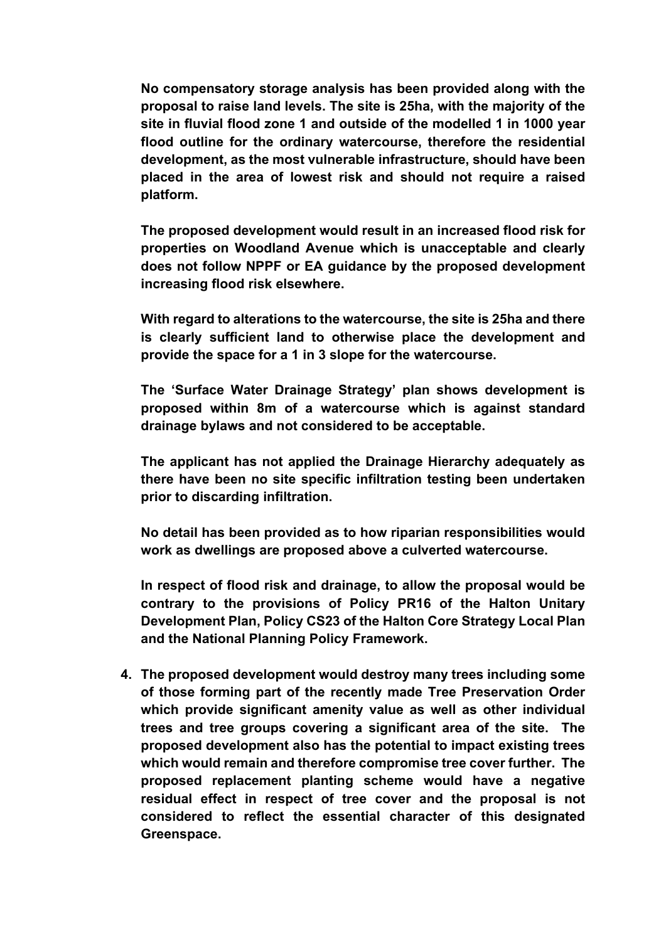**No compensatory storage analysis has been provided along with the proposal to raise land levels. The site is 25ha, with the majority of the site in fluvial flood zone 1 and outside of the modelled 1 in 1000 year flood outline for the ordinary watercourse, therefore the residential development, as the most vulnerable infrastructure, should have been placed in the area of lowest risk and should not require a raised platform.**

**The proposed development would result in an increased flood risk for properties on Woodland Avenue which is unacceptable and clearly does not follow NPPF or EA guidance by the proposed development increasing flood risk elsewhere.**

**With regard to alterations to the watercourse, the site is 25ha and there is clearly sufficient land to otherwise place the development and provide the space for a 1 in 3 slope for the watercourse.**

**The 'Surface Water Drainage Strategy' plan shows development is proposed within 8m of a watercourse which is against standard drainage bylaws and not considered to be acceptable.**

**The applicant has not applied the Drainage Hierarchy adequately as there have been no site specific infiltration testing been undertaken prior to discarding infiltration.**

**No detail has been provided as to how riparian responsibilities would work as dwellings are proposed above a culverted watercourse.**

**In respect of flood risk and drainage, to allow the proposal would be contrary to the provisions of Policy PR16 of the Halton Unitary Development Plan, Policy CS23 of the Halton Core Strategy Local Plan and the National Planning Policy Framework.**

**4. The proposed development would destroy many trees including some of those forming part of the recently made Tree Preservation Order which provide significant amenity value as well as other individual trees and tree groups covering a significant area of the site. The proposed development also has the potential to impact existing trees which would remain and therefore compromise tree cover further. The proposed replacement planting scheme would have a negative residual effect in respect of tree cover and the proposal is not considered to reflect the essential character of this designated Greenspace.**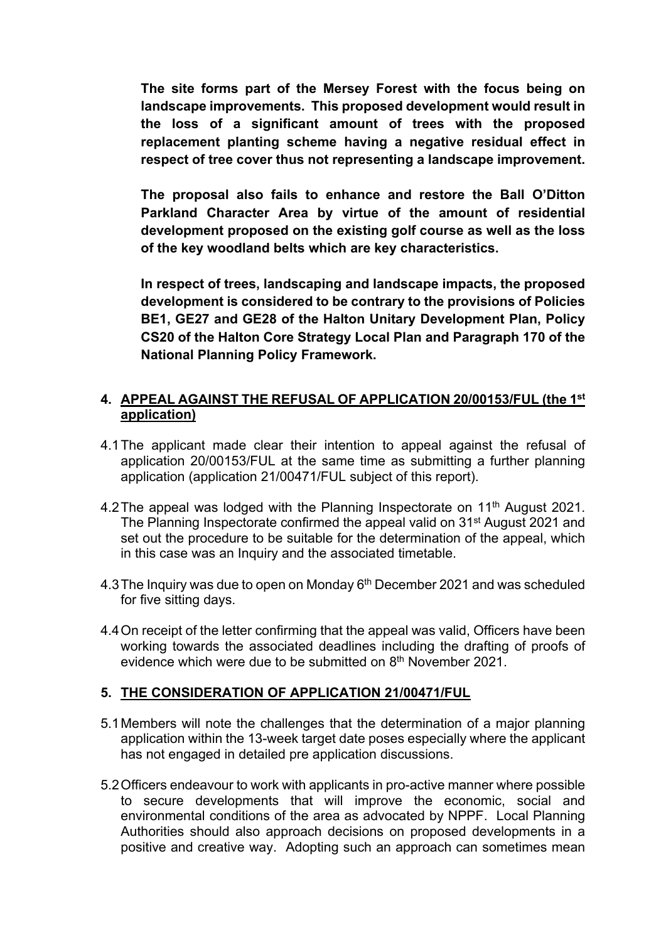**The site forms part of the Mersey Forest with the focus being on landscape improvements. This proposed development would result in the loss of a significant amount of trees with the proposed replacement planting scheme having a negative residual effect in respect of tree cover thus not representing a landscape improvement.** 

**The proposal also fails to enhance and restore the Ball O'Ditton Parkland Character Area by virtue of the amount of residential development proposed on the existing golf course as well as the loss of the key woodland belts which are key characteristics.**

**In respect of trees, landscaping and landscape impacts, the proposed development is considered to be contrary to the provisions of Policies BE1, GE27 and GE28 of the Halton Unitary Development Plan, Policy CS20 of the Halton Core Strategy Local Plan and Paragraph 170 of the National Planning Policy Framework.**

### **4. APPEAL AGAINST THE REFUSAL OF APPLICATION 20/00153/FUL (the 1 st application)**

- 4.1The applicant made clear their intention to appeal against the refusal of application 20/00153/FUL at the same time as submitting a further planning application (application 21/00471/FUL subject of this report).
- 4.2 The appeal was lodged with the Planning Inspectorate on 11<sup>th</sup> August 2021. The Planning Inspectorate confirmed the appeal valid on 31st August 2021 and set out the procedure to be suitable for the determination of the appeal, which in this case was an Inquiry and the associated timetable.
- 4.3 The Inquiry was due to open on Monday 6<sup>th</sup> December 2021 and was scheduled for five sitting days.
- 4.4On receipt of the letter confirming that the appeal was valid, Officers have been working towards the associated deadlines including the drafting of proofs of evidence which were due to be submitted on 8<sup>th</sup> November 2021.

#### **5. THE CONSIDERATION OF APPLICATION 21/00471/FUL**

- 5.1Members will note the challenges that the determination of a major planning application within the 13-week target date poses especially where the applicant has not engaged in detailed pre application discussions.
- 5.2Officers endeavour to work with applicants in pro-active manner where possible to secure developments that will improve the economic, social and environmental conditions of the area as advocated by NPPF. Local Planning Authorities should also approach decisions on proposed developments in a positive and creative way. Adopting such an approach can sometimes mean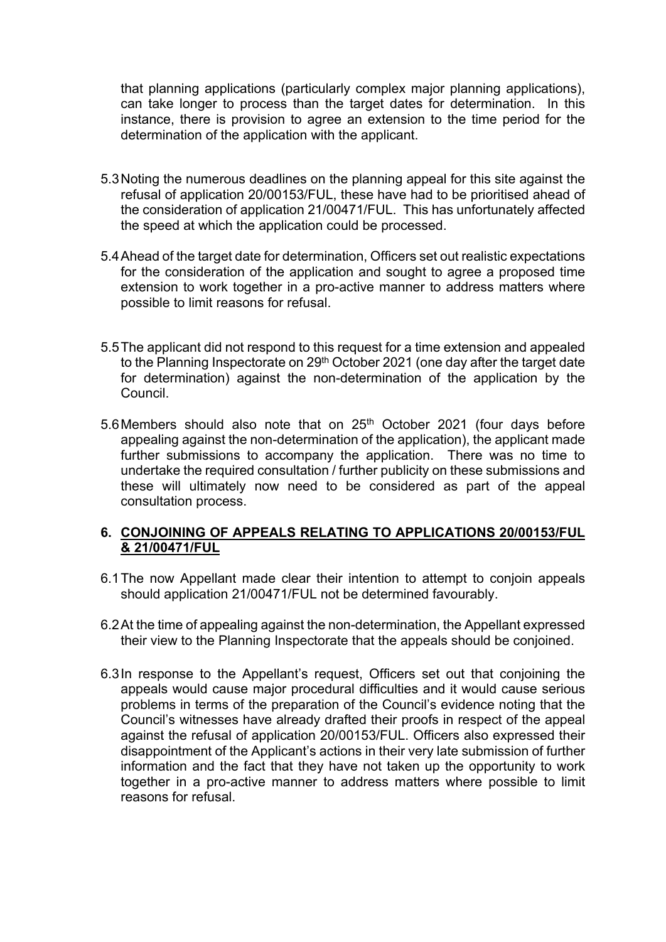that planning applications (particularly complex major planning applications), can take longer to process than the target dates for determination. In this instance, there is provision to agree an extension to the time period for the determination of the application with the applicant.

- 5.3Noting the numerous deadlines on the planning appeal for this site against the refusal of application 20/00153/FUL, these have had to be prioritised ahead of the consideration of application 21/00471/FUL. This has unfortunately affected the speed at which the application could be processed.
- 5.4Ahead of the target date for determination, Officers set out realistic expectations for the consideration of the application and sought to agree a proposed time extension to work together in a pro-active manner to address matters where possible to limit reasons for refusal.
- 5.5The applicant did not respond to this request for a time extension and appealed to the Planning Inspectorate on 29<sup>th</sup> October 2021 (one day after the target date for determination) against the non-determination of the application by the Council.
- 5.6 Members should also note that on 25<sup>th</sup> October 2021 (four days before appealing against the non-determination of the application), the applicant made further submissions to accompany the application. There was no time to undertake the required consultation / further publicity on these submissions and these will ultimately now need to be considered as part of the appeal consultation process.

### **6. CONJOINING OF APPEALS RELATING TO APPLICATIONS 20/00153/FUL & 21/00471/FUL**

- 6.1The now Appellant made clear their intention to attempt to conjoin appeals should application 21/00471/FUL not be determined favourably.
- 6.2At the time of appealing against the non-determination, the Appellant expressed their view to the Planning Inspectorate that the appeals should be conjoined.
- 6.3In response to the Appellant's request, Officers set out that conjoining the appeals would cause major procedural difficulties and it would cause serious problems in terms of the preparation of the Council's evidence noting that the Council's witnesses have already drafted their proofs in respect of the appeal against the refusal of application 20/00153/FUL. Officers also expressed their disappointment of the Applicant's actions in their very late submission of further information and the fact that they have not taken up the opportunity to work together in a pro-active manner to address matters where possible to limit reasons for refusal.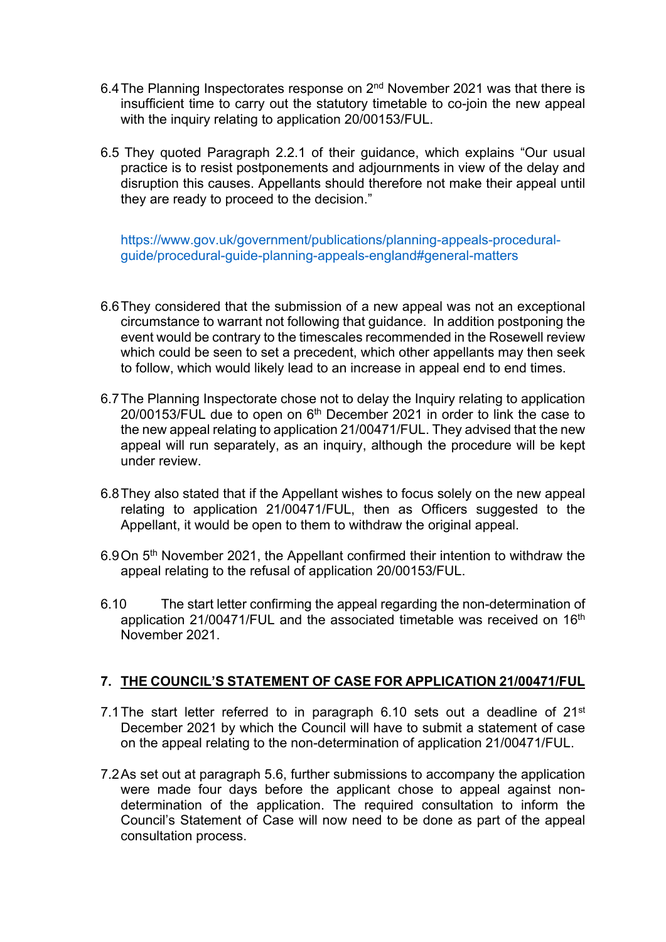- 6.4 The Planning Inspectorates response on 2<sup>nd</sup> November 2021 was that there is insufficient time to carry out the statutory timetable to co-join the new appeal with the inquiry relating to application 20/00153/FUL.
- 6.5 They quoted Paragraph 2.2.1 of their guidance, which explains "Our usual practice is to resist postponements and adjournments in view of the delay and disruption this causes. Appellants should therefore not make their appeal until they are ready to proceed to the decision."

[https://www.gov.uk/government/publications/planning-appeals-procedural](https://www.gov.uk/government/publications/planning-appeals-procedural-guide/procedural-guide-planning-appeals-england#general-matters)[guide/procedural-guide-planning-appeals-england#general-matters](https://www.gov.uk/government/publications/planning-appeals-procedural-guide/procedural-guide-planning-appeals-england#general-matters)

- 6.6They considered that the submission of a new appeal was not an exceptional circumstance to warrant not following that guidance. In addition postponing the event would be contrary to the timescales recommended in the Rosewell review which could be seen to set a precedent, which other appellants may then seek to follow, which would likely lead to an increase in appeal end to end times.
- 6.7The Planning Inspectorate chose not to delay the Inquiry relating to application  $20/00153$ /FUL due to open on  $6<sup>th</sup>$  December 2021 in order to link the case to the new appeal relating to application 21/00471/FUL. They advised that the new appeal will run separately, as an inquiry, although the procedure will be kept under review.
- 6.8They also stated that if the Appellant wishes to focus solely on the new appeal relating to application 21/00471/FUL, then as Officers suggested to the Appellant, it would be open to them to withdraw the original appeal.
- 6.9 On 5<sup>th</sup> November 2021, the Appellant confirmed their intention to withdraw the appeal relating to the refusal of application 20/00153/FUL.
- 6.10 The start letter confirming the appeal regarding the non-determination of application 21/00471/FUL and the associated timetable was received on 16th November 2021.

#### **7. THE COUNCIL'S STATEMENT OF CASE FOR APPLICATION 21/00471/FUL**

- 7.1 The start letter referred to in paragraph 6.10 sets out a deadline of 21<sup>st</sup> December 2021 by which the Council will have to submit a statement of case on the appeal relating to the non-determination of application 21/00471/FUL.
- 7.2As set out at paragraph 5.6, further submissions to accompany the application were made four days before the applicant chose to appeal against nondetermination of the application. The required consultation to inform the Council's Statement of Case will now need to be done as part of the appeal consultation process.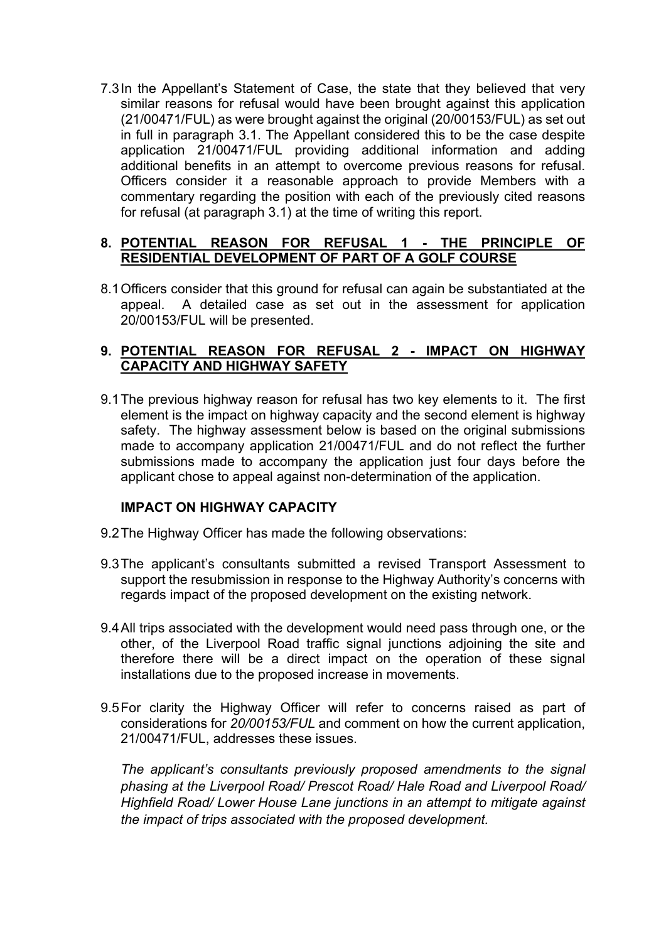7.3In the Appellant's Statement of Case, the state that they believed that very similar reasons for refusal would have been brought against this application (21/00471/FUL) as were brought against the original (20/00153/FUL) as set out in full in paragraph 3.1. The Appellant considered this to be the case despite application 21/00471/FUL providing additional information and adding additional benefits in an attempt to overcome previous reasons for refusal. Officers consider it a reasonable approach to provide Members with a commentary regarding the position with each of the previously cited reasons for refusal (at paragraph 3.1) at the time of writing this report.

## **8. POTENTIAL REASON FOR REFUSAL 1 - THE PRINCIPLE OF RESIDENTIAL DEVELOPMENT OF PART OF A GOLF COURSE**

8.1Officers consider that this ground for refusal can again be substantiated at the appeal. A detailed case as set out in the assessment for application 20/00153/FUL will be presented.

### **9. POTENTIAL REASON FOR REFUSAL 2 - IMPACT ON HIGHWAY CAPACITY AND HIGHWAY SAFETY**

9.1The previous highway reason for refusal has two key elements to it. The first element is the impact on highway capacity and the second element is highway safety. The highway assessment below is based on the original submissions made to accompany application 21/00471/FUL and do not reflect the further submissions made to accompany the application just four days before the applicant chose to appeal against non-determination of the application.

#### **IMPACT ON HIGHWAY CAPACITY**

- 9.2 The Highway Officer has made the following observations:
- 9.3The applicant's consultants submitted a revised Transport Assessment to support the resubmission in response to the Highway Authority's concerns with regards impact of the proposed development on the existing network.
- 9.4All trips associated with the development would need pass through one, or the other, of the Liverpool Road traffic signal junctions adjoining the site and therefore there will be a direct impact on the operation of these signal installations due to the proposed increase in movements.
- 9.5For clarity the Highway Officer will refer to concerns raised as part of considerations for *20/00153/FUL* and comment on how the current application, 21/00471/FUL, addresses these issues.

*The applicant's consultants previously proposed amendments to the signal phasing at the Liverpool Road/ Prescot Road/ Hale Road and Liverpool Road/ Highfield Road/ Lower House Lane junctions in an attempt to mitigate against the impact of trips associated with the proposed development.*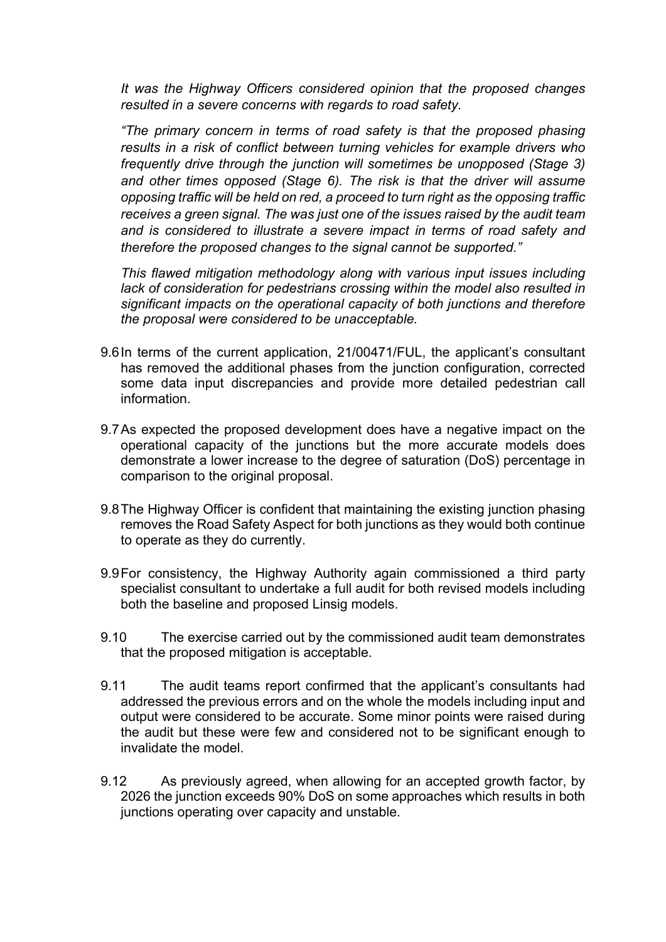*It was the Highway Officers considered opinion that the proposed changes resulted in a severe concerns with regards to road safety.*

*"The primary concern in terms of road safety is that the proposed phasing results in a risk of conflict between turning vehicles for example drivers who frequently drive through the junction will sometimes be unopposed (Stage 3) and other times opposed (Stage 6). The risk is that the driver will assume opposing traffic will be held on red, a proceed to turn right as the opposing traffic receives a green signal. The was just one of the issues raised by the audit team and is considered to illustrate a severe impact in terms of road safety and therefore the proposed changes to the signal cannot be supported."*

*This flawed mitigation methodology along with various input issues including lack of consideration for pedestrians crossing within the model also resulted in significant impacts on the operational capacity of both junctions and therefore the proposal were considered to be unacceptable.*

- 9.6In terms of the current application, 21/00471/FUL, the applicant's consultant has removed the additional phases from the junction configuration, corrected some data input discrepancies and provide more detailed pedestrian call information.
- 9.7As expected the proposed development does have a negative impact on the operational capacity of the junctions but the more accurate models does demonstrate a lower increase to the degree of saturation (DoS) percentage in comparison to the original proposal.
- 9.8The Highway Officer is confident that maintaining the existing junction phasing removes the Road Safety Aspect for both junctions as they would both continue to operate as they do currently.
- 9.9For consistency, the Highway Authority again commissioned a third party specialist consultant to undertake a full audit for both revised models including both the baseline and proposed Linsig models.
- 9.10 The exercise carried out by the commissioned audit team demonstrates that the proposed mitigation is acceptable.
- 9.11 The audit teams report confirmed that the applicant's consultants had addressed the previous errors and on the whole the models including input and output were considered to be accurate. Some minor points were raised during the audit but these were few and considered not to be significant enough to invalidate the model.
- 9.12 As previously agreed, when allowing for an accepted growth factor, by 2026 the junction exceeds 90% DoS on some approaches which results in both junctions operating over capacity and unstable.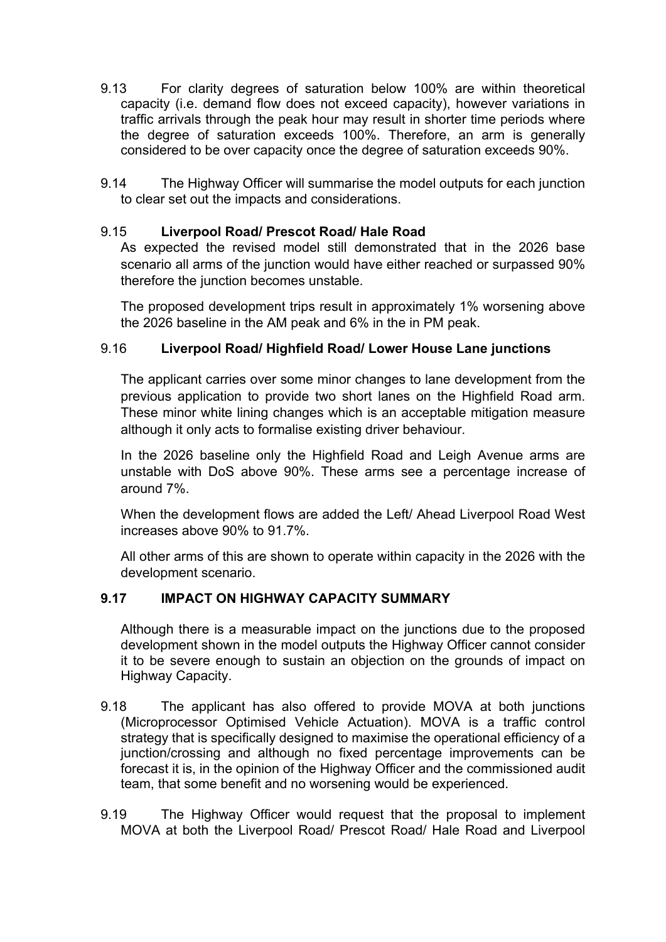- 9.13 For clarity degrees of saturation below 100% are within theoretical capacity (i.e. demand flow does not exceed capacity), however variations in traffic arrivals through the peak hour may result in shorter time periods where the degree of saturation exceeds 100%. Therefore, an arm is generally considered to be over capacity once the degree of saturation exceeds 90%.
- 9.14 The Highway Officer will summarise the model outputs for each junction to clear set out the impacts and considerations.

## 9.15 **Liverpool Road/ Prescot Road/ Hale Road**

As expected the revised model still demonstrated that in the 2026 base scenario all arms of the junction would have either reached or surpassed 90% therefore the junction becomes unstable.

The proposed development trips result in approximately 1% worsening above the 2026 baseline in the AM peak and 6% in the in PM peak.

### 9.16 **Liverpool Road/ Highfield Road/ Lower House Lane junctions**

The applicant carries over some minor changes to lane development from the previous application to provide two short lanes on the Highfield Road arm. These minor white lining changes which is an acceptable mitigation measure although it only acts to formalise existing driver behaviour.

In the 2026 baseline only the Highfield Road and Leigh Avenue arms are unstable with DoS above 90%. These arms see a percentage increase of around 7%.

When the development flows are added the Left/ Ahead Liverpool Road West increases above 90% to 91.7%.

All other arms of this are shown to operate within capacity in the 2026 with the development scenario.

## **9.17 IMPACT ON HIGHWAY CAPACITY SUMMARY**

Although there is a measurable impact on the junctions due to the proposed development shown in the model outputs the Highway Officer cannot consider it to be severe enough to sustain an objection on the grounds of impact on Highway Capacity.

- 9.18 The applicant has also offered to provide MOVA at both junctions (Microprocessor Optimised Vehicle Actuation). MOVA is a traffic control strategy that is specifically designed to maximise the operational efficiency of a junction/crossing and although no fixed percentage improvements can be forecast it is, in the opinion of the Highway Officer and the commissioned audit team, that some benefit and no worsening would be experienced.
- 9.19 The Highway Officer would request that the proposal to implement MOVA at both the Liverpool Road/ Prescot Road/ Hale Road and Liverpool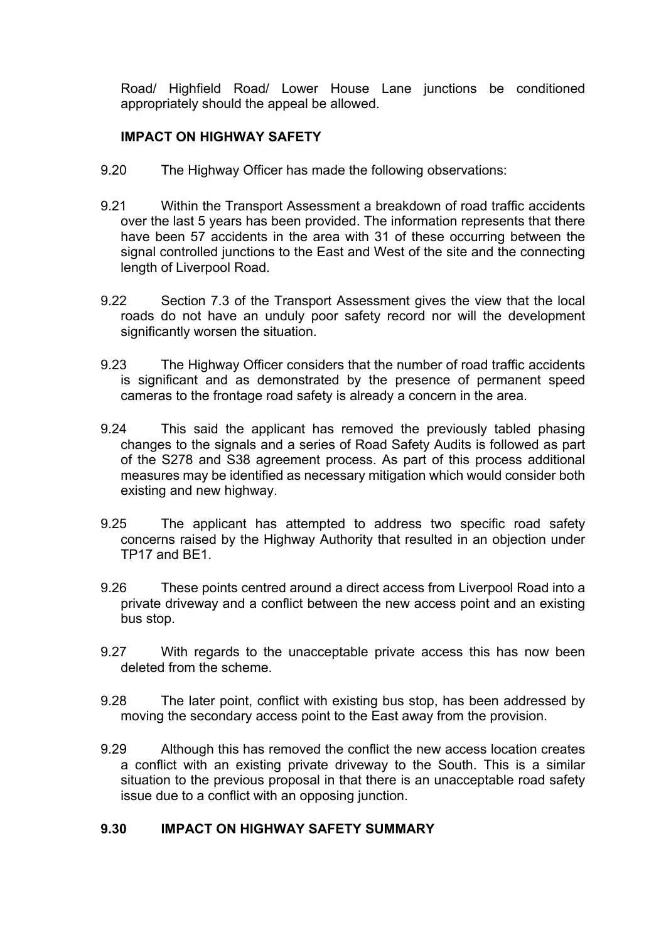Road/ Highfield Road/ Lower House Lane junctions be conditioned appropriately should the appeal be allowed.

# **IMPACT ON HIGHWAY SAFETY**

- 9.20 The Highway Officer has made the following observations:
- 9.21 Within the Transport Assessment a breakdown of road traffic accidents over the last 5 years has been provided. The information represents that there have been 57 accidents in the area with 31 of these occurring between the signal controlled junctions to the East and West of the site and the connecting length of Liverpool Road.
- 9.22 Section 7.3 of the Transport Assessment gives the view that the local roads do not have an unduly poor safety record nor will the development significantly worsen the situation.
- 9.23 The Highway Officer considers that the number of road traffic accidents is significant and as demonstrated by the presence of permanent speed cameras to the frontage road safety is already a concern in the area.
- 9.24 This said the applicant has removed the previously tabled phasing changes to the signals and a series of Road Safety Audits is followed as part of the S278 and S38 agreement process. As part of this process additional measures may be identified as necessary mitigation which would consider both existing and new highway.
- 9.25 The applicant has attempted to address two specific road safety concerns raised by the Highway Authority that resulted in an objection under TP17 and BE1.
- 9.26 These points centred around a direct access from Liverpool Road into a private driveway and a conflict between the new access point and an existing bus stop.
- 9.27 With regards to the unacceptable private access this has now been deleted from the scheme.
- 9.28 The later point, conflict with existing bus stop, has been addressed by moving the secondary access point to the East away from the provision.
- 9.29 Although this has removed the conflict the new access location creates a conflict with an existing private driveway to the South. This is a similar situation to the previous proposal in that there is an unacceptable road safety issue due to a conflict with an opposing junction.

## **9.30 IMPACT ON HIGHWAY SAFETY SUMMARY**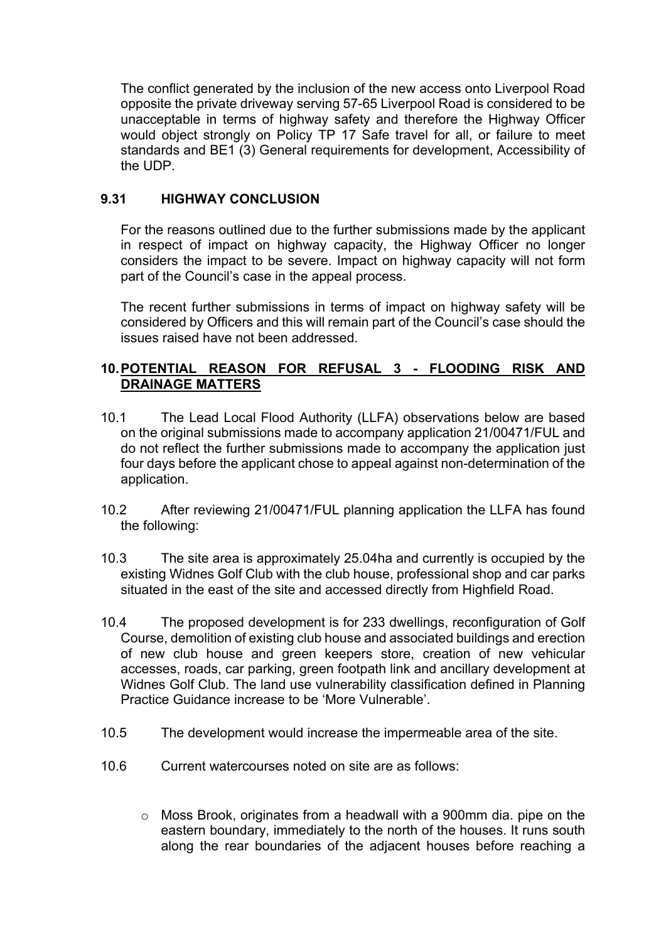The conflict generated by the inclusion of the new access onto Liverpool Road opposite the private driveway serving 57-65 Liverpool Road is considered to be unacceptable in terms of highway safety and therefore the Highway Officer would object strongly on Policy TP 17 Safe travel for all, or failure to meet standards and BE1 (3) General requirements for development, Accessibility of the UDP.

## **9.31 HIGHWAY CONCLUSION**

For the reasons outlined due to the further submissions made by the applicant in respect of impact on highway capacity, the Highway Officer no longer considers the impact to be severe. Impact on highway capacity will not form part of the Council's case in the appeal process.

The recent further submissions in terms of impact on highway safety will be considered by Officers and this will remain part of the Council's case should the issues raised have not been addressed.

### **10.POTENTIAL REASON FOR REFUSAL 3 - FLOODING RISK AND DRAINAGE MATTERS**

- 10.1 The Lead Local Flood Authority (LLFA) observations below are based on the original submissions made to accompany application 21/00471/FUL and do not reflect the further submissions made to accompany the application just four days before the applicant chose to appeal against non-determination of the application.
- 10.2 After reviewing 21/00471/FUL planning application the LLFA has found the following:
- 10.3 The site area is approximately 25.04ha and currently is occupied by the existing Widnes Golf Club with the club house, professional shop and car parks situated in the east of the site and accessed directly from Highfield Road.
- 10.4 The proposed development is for 233 dwellings, reconfiguration of Golf Course, demolition of existing club house and associated buildings and erection of new club house and green keepers store, creation of new vehicular accesses, roads, car parking, green footpath link and ancillary development at Widnes Golf Club. The land use vulnerability classification defined in Planning Practice Guidance increase to be 'More Vulnerable'.
- 10.5 The development would increase the impermeable area of the site.
- 10.6 Current watercourses noted on site are as follows:
	- o Moss Brook, originates from a headwall with a 900mm dia. pipe on the eastern boundary, immediately to the north of the houses. It runs south along the rear boundaries of the adjacent houses before reaching a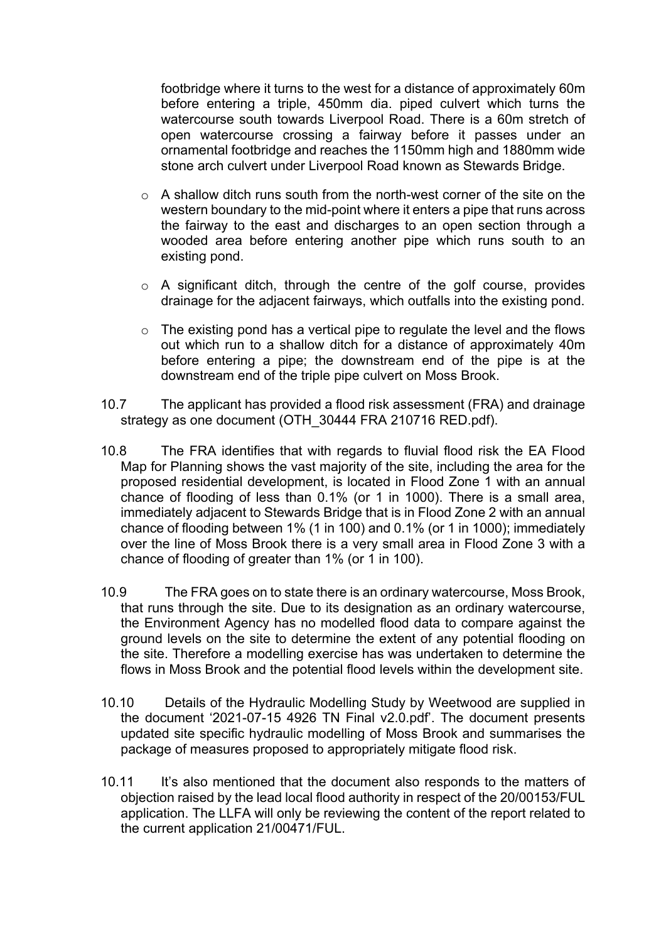footbridge where it turns to the west for a distance of approximately 60m before entering a triple, 450mm dia. piped culvert which turns the watercourse south towards Liverpool Road. There is a 60m stretch of open watercourse crossing a fairway before it passes under an ornamental footbridge and reaches the 1150mm high and 1880mm wide stone arch culvert under Liverpool Road known as Stewards Bridge.

- o A shallow ditch runs south from the north-west corner of the site on the western boundary to the mid-point where it enters a pipe that runs across the fairway to the east and discharges to an open section through a wooded area before entering another pipe which runs south to an existing pond.
- $\circ$  A significant ditch, through the centre of the golf course, provides drainage for the adjacent fairways, which outfalls into the existing pond.
- $\circ$  The existing pond has a vertical pipe to regulate the level and the flows out which run to a shallow ditch for a distance of approximately 40m before entering a pipe; the downstream end of the pipe is at the downstream end of the triple pipe culvert on Moss Brook.
- 10.7 The applicant has provided a flood risk assessment (FRA) and drainage strategy as one document (OTH\_30444 FRA 210716 RED.pdf).
- 10.8 The FRA identifies that with regards to fluvial flood risk the EA Flood Map for Planning shows the vast majority of the site, including the area for the proposed residential development, is located in Flood Zone 1 with an annual chance of flooding of less than 0.1% (or 1 in 1000). There is a small area, immediately adjacent to Stewards Bridge that is in Flood Zone 2 with an annual chance of flooding between 1% (1 in 100) and 0.1% (or 1 in 1000); immediately over the line of Moss Brook there is a very small area in Flood Zone 3 with a chance of flooding of greater than 1% (or 1 in 100).
- 10.9 The FRA goes on to state there is an ordinary watercourse, Moss Brook, that runs through the site. Due to its designation as an ordinary watercourse, the Environment Agency has no modelled flood data to compare against the ground levels on the site to determine the extent of any potential flooding on the site. Therefore a modelling exercise has was undertaken to determine the flows in Moss Brook and the potential flood levels within the development site.
- 10.10 Details of the Hydraulic Modelling Study by Weetwood are supplied in the document '2021-07-15 4926 TN Final v2.0.pdf'. The document presents updated site specific hydraulic modelling of Moss Brook and summarises the package of measures proposed to appropriately mitigate flood risk.
- 10.11 It's also mentioned that the document also responds to the matters of objection raised by the lead local flood authority in respect of the 20/00153/FUL application. The LLFA will only be reviewing the content of the report related to the current application 21/00471/FUL.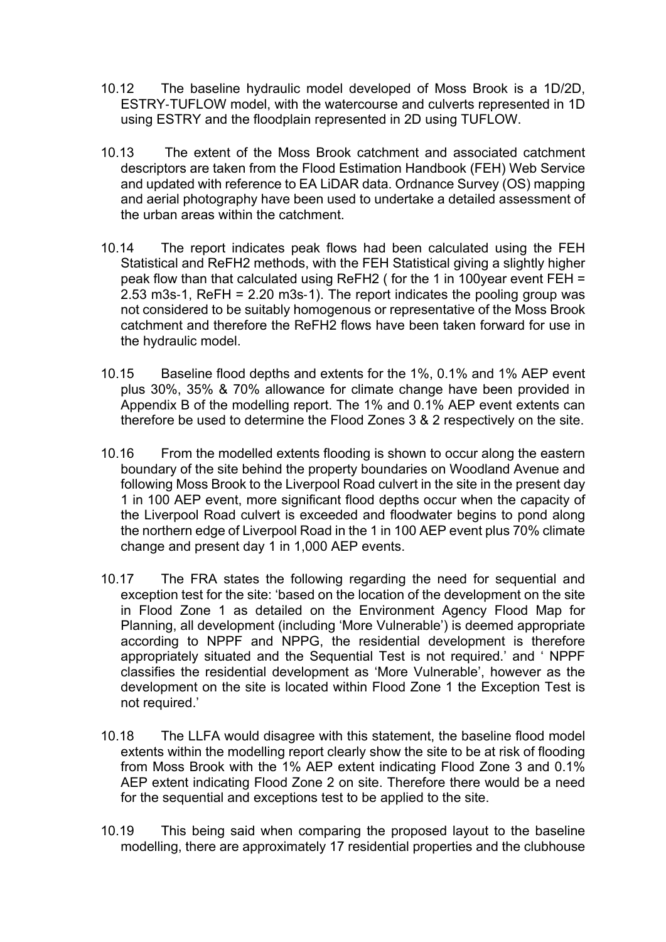- 10.12 The baseline hydraulic model developed of Moss Brook is a 1D/2D, ESTRY‐TUFLOW model, with the watercourse and culverts represented in 1D using ESTRY and the floodplain represented in 2D using TUFLOW.
- 10.13 The extent of the Moss Brook catchment and associated catchment descriptors are taken from the Flood Estimation Handbook (FEH) Web Service and updated with reference to EA LiDAR data. Ordnance Survey (OS) mapping and aerial photography have been used to undertake a detailed assessment of the urban areas within the catchment.
- 10.14 The report indicates peak flows had been calculated using the FEH Statistical and ReFH2 methods, with the FEH Statistical giving a slightly higher peak flow than that calculated using ReFH2 ( for the 1 in 100year event FEH = 2.53 m3s‐1, ReFH = 2.20 m3s‐1). The report indicates the pooling group was not considered to be suitably homogenous or representative of the Moss Brook catchment and therefore the ReFH2 flows have been taken forward for use in the hydraulic model.
- 10.15 Baseline flood depths and extents for the 1%, 0.1% and 1% AEP event plus 30%, 35% & 70% allowance for climate change have been provided in Appendix B of the modelling report. The 1% and 0.1% AEP event extents can therefore be used to determine the Flood Zones 3 & 2 respectively on the site.
- 10.16 From the modelled extents flooding is shown to occur along the eastern boundary of the site behind the property boundaries on Woodland Avenue and following Moss Brook to the Liverpool Road culvert in the site in the present day 1 in 100 AEP event, more significant flood depths occur when the capacity of the Liverpool Road culvert is exceeded and floodwater begins to pond along the northern edge of Liverpool Road in the 1 in 100 AEP event plus 70% climate change and present day 1 in 1,000 AEP events.
- 10.17 The FRA states the following regarding the need for sequential and exception test for the site: 'based on the location of the development on the site in Flood Zone 1 as detailed on the Environment Agency Flood Map for Planning, all development (including 'More Vulnerable') is deemed appropriate according to NPPF and NPPG, the residential development is therefore appropriately situated and the Sequential Test is not required.' and ' NPPF classifies the residential development as 'More Vulnerable', however as the development on the site is located within Flood Zone 1 the Exception Test is not required.'
- 10.18 The LLFA would disagree with this statement, the baseline flood model extents within the modelling report clearly show the site to be at risk of flooding from Moss Brook with the 1% AEP extent indicating Flood Zone 3 and 0.1% AEP extent indicating Flood Zone 2 on site. Therefore there would be a need for the sequential and exceptions test to be applied to the site.
- 10.19 This being said when comparing the proposed layout to the baseline modelling, there are approximately 17 residential properties and the clubhouse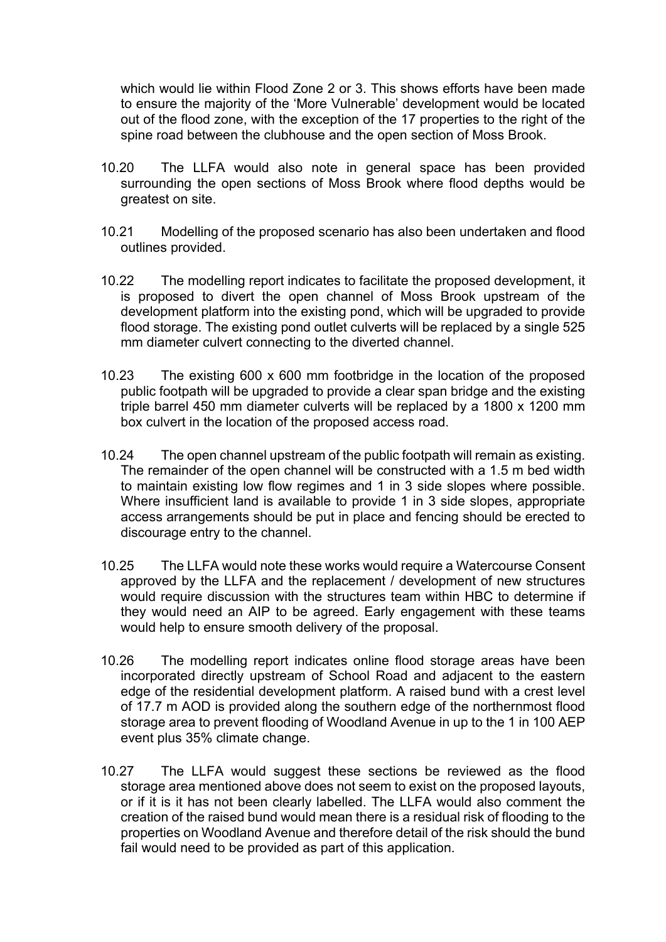which would lie within Flood Zone 2 or 3. This shows efforts have been made to ensure the majority of the 'More Vulnerable' development would be located out of the flood zone, with the exception of the 17 properties to the right of the spine road between the clubhouse and the open section of Moss Brook.

- 10.20 The LLFA would also note in general space has been provided surrounding the open sections of Moss Brook where flood depths would be greatest on site.
- 10.21 Modelling of the proposed scenario has also been undertaken and flood outlines provided.
- 10.22 The modelling report indicates to facilitate the proposed development, it is proposed to divert the open channel of Moss Brook upstream of the development platform into the existing pond, which will be upgraded to provide flood storage. The existing pond outlet culverts will be replaced by a single 525 mm diameter culvert connecting to the diverted channel.
- 10.23 The existing 600 x 600 mm footbridge in the location of the proposed public footpath will be upgraded to provide a clear span bridge and the existing triple barrel 450 mm diameter culverts will be replaced by a 1800 x 1200 mm box culvert in the location of the proposed access road.
- 10.24 The open channel upstream of the public footpath will remain as existing. The remainder of the open channel will be constructed with a 1.5 m bed width to maintain existing low flow regimes and 1 in 3 side slopes where possible. Where insufficient land is available to provide 1 in 3 side slopes, appropriate access arrangements should be put in place and fencing should be erected to discourage entry to the channel.
- 10.25 The LLFA would note these works would require a Watercourse Consent approved by the LLFA and the replacement / development of new structures would require discussion with the structures team within HBC to determine if they would need an AIP to be agreed. Early engagement with these teams would help to ensure smooth delivery of the proposal.
- 10.26 The modelling report indicates online flood storage areas have been incorporated directly upstream of School Road and adjacent to the eastern edge of the residential development platform. A raised bund with a crest level of 17.7 m AOD is provided along the southern edge of the northernmost flood storage area to prevent flooding of Woodland Avenue in up to the 1 in 100 AEP event plus 35% climate change.
- 10.27 The LLFA would suggest these sections be reviewed as the flood storage area mentioned above does not seem to exist on the proposed layouts, or if it is it has not been clearly labelled. The LLFA would also comment the creation of the raised bund would mean there is a residual risk of flooding to the properties on Woodland Avenue and therefore detail of the risk should the bund fail would need to be provided as part of this application.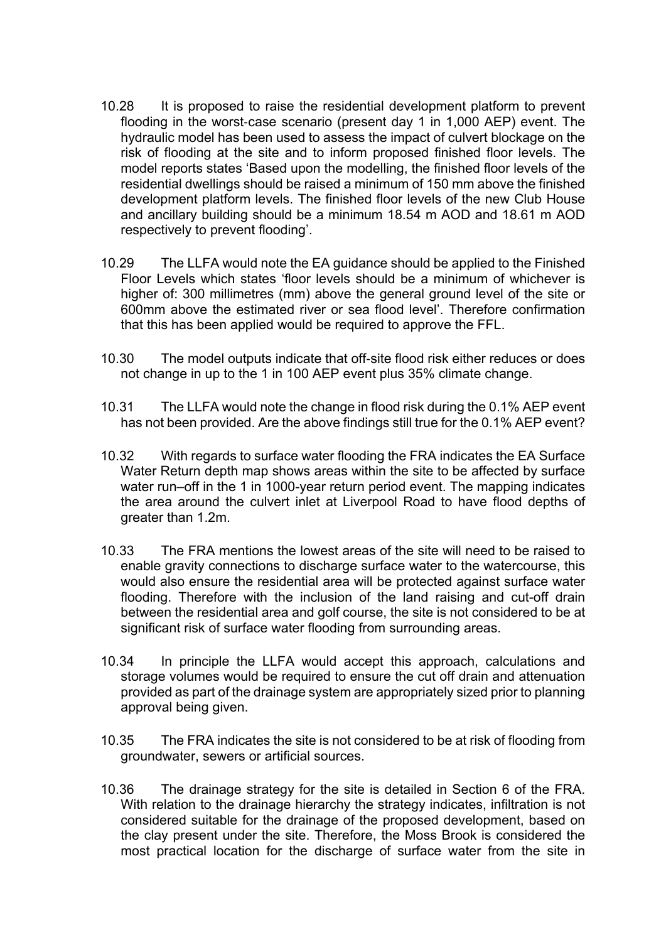- 10.28 It is proposed to raise the residential development platform to prevent flooding in the worst-case scenario (present day 1 in 1,000 AEP) event. The hydraulic model has been used to assess the impact of culvert blockage on the risk of flooding at the site and to inform proposed finished floor levels. The model reports states 'Based upon the modelling, the finished floor levels of the residential dwellings should be raised a minimum of 150 mm above the finished development platform levels. The finished floor levels of the new Club House and ancillary building should be a minimum 18.54 m AOD and 18.61 m AOD respectively to prevent flooding'.
- 10.29 The LLFA would note the EA guidance should be applied to the Finished Floor Levels which states 'floor levels should be a minimum of whichever is higher of: 300 millimetres (mm) above the general ground level of the site or 600mm above the estimated river or sea flood level'. Therefore confirmation that this has been applied would be required to approve the FFL.
- 10.30 The model outputs indicate that off‐site flood risk either reduces or does not change in up to the 1 in 100 AEP event plus 35% climate change.
- 10.31 The LLFA would note the change in flood risk during the 0.1% AEP event has not been provided. Are the above findings still true for the 0.1% AEP event?
- 10.32 With regards to surface water flooding the FRA indicates the EA Surface Water Return depth map shows areas within the site to be affected by surface water run–off in the 1 in 1000-year return period event. The mapping indicates the area around the culvert inlet at Liverpool Road to have flood depths of greater than 1.2m.
- 10.33 The FRA mentions the lowest areas of the site will need to be raised to enable gravity connections to discharge surface water to the watercourse, this would also ensure the residential area will be protected against surface water flooding. Therefore with the inclusion of the land raising and cut-off drain between the residential area and golf course, the site is not considered to be at significant risk of surface water flooding from surrounding areas.
- 10.34 In principle the LLFA would accept this approach, calculations and storage volumes would be required to ensure the cut off drain and attenuation provided as part of the drainage system are appropriately sized prior to planning approval being given.
- 10.35 The FRA indicates the site is not considered to be at risk of flooding from groundwater, sewers or artificial sources.
- 10.36 The drainage strategy for the site is detailed in Section 6 of the FRA. With relation to the drainage hierarchy the strategy indicates, infiltration is not considered suitable for the drainage of the proposed development, based on the clay present under the site. Therefore, the Moss Brook is considered the most practical location for the discharge of surface water from the site in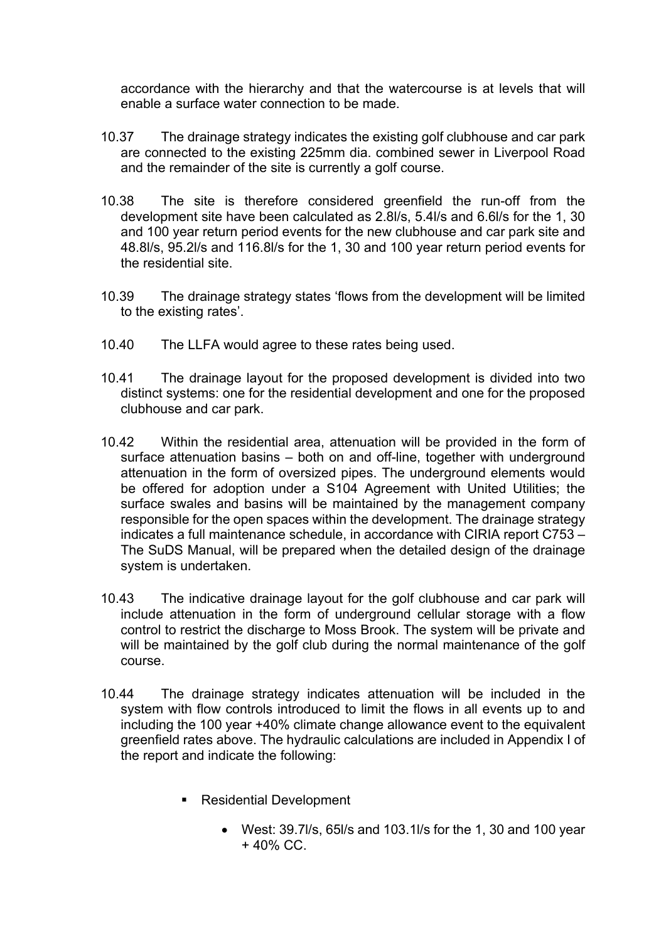accordance with the hierarchy and that the watercourse is at levels that will enable a surface water connection to be made.

- 10.37 The drainage strategy indicates the existing golf clubhouse and car park are connected to the existing 225mm dia. combined sewer in Liverpool Road and the remainder of the site is currently a golf course.
- 10.38 The site is therefore considered greenfield the run-off from the development site have been calculated as 2.8l/s, 5.4l/s and 6.6l/s for the 1, 30 and 100 year return period events for the new clubhouse and car park site and 48.8l/s, 95.2l/s and 116.8l/s for the 1, 30 and 100 year return period events for the residential site.
- 10.39 The drainage strategy states 'flows from the development will be limited to the existing rates'.
- 10.40 The LLFA would agree to these rates being used.
- 10.41 The drainage layout for the proposed development is divided into two distinct systems: one for the residential development and one for the proposed clubhouse and car park.
- 10.42 Within the residential area, attenuation will be provided in the form of surface attenuation basins – both on and off-line, together with underground attenuation in the form of oversized pipes. The underground elements would be offered for adoption under a S104 Agreement with United Utilities; the surface swales and basins will be maintained by the management company responsible for the open spaces within the development. The drainage strategy indicates a full maintenance schedule, in accordance with CIRIA report C753 – The SuDS Manual, will be prepared when the detailed design of the drainage system is undertaken.
- 10.43 The indicative drainage layout for the golf clubhouse and car park will include attenuation in the form of underground cellular storage with a flow control to restrict the discharge to Moss Brook. The system will be private and will be maintained by the golf club during the normal maintenance of the golf course.
- 10.44 The drainage strategy indicates attenuation will be included in the system with flow controls introduced to limit the flows in all events up to and including the 100 year +40% climate change allowance event to the equivalent greenfield rates above. The hydraulic calculations are included in Appendix I of the report and indicate the following:
	- Residential Development
		- West: 39.7l/s, 65l/s and 103.1l/s for the 1, 30 and 100 year + 40% CC.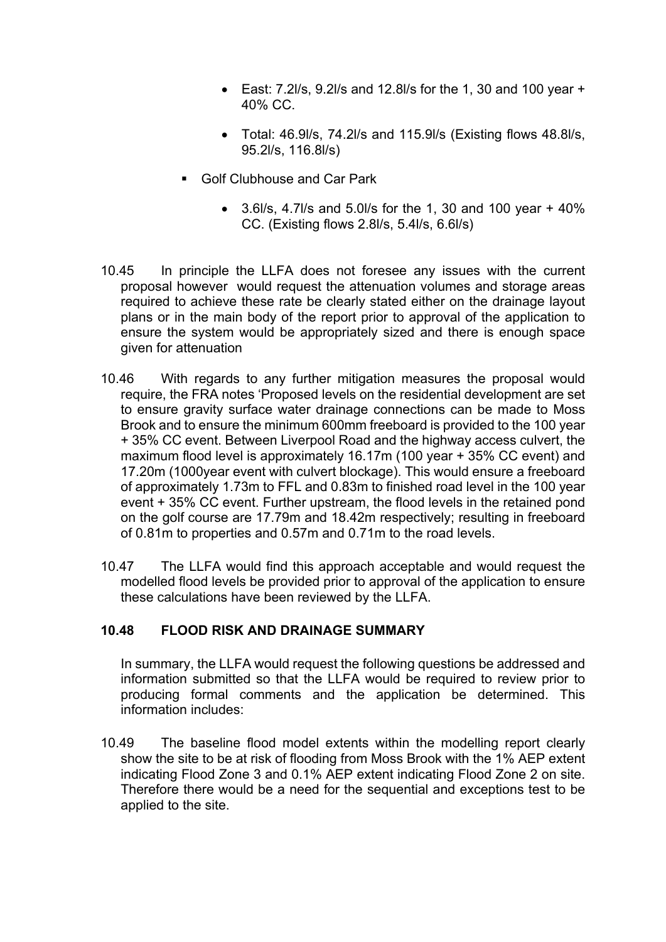- East:  $7.2$ l/s,  $9.2$ l/s and  $12.8$ l/s for the 1, 30 and 100 year + 40% CC.
- Total: 46.9l/s, 74.2l/s and 115.9l/s (Existing flows 48.8l/s, 95.2l/s, 116.8l/s)
- Golf Clubhouse and Car Park
	- $\bullet$  3.6l/s, 4.7l/s and 5.0l/s for the 1, 30 and 100 year + 40% CC. (Existing flows 2.8l/s, 5.4l/s, 6.6l/s)
- 10.45 In principle the LLFA does not foresee any issues with the current proposal however would request the attenuation volumes and storage areas required to achieve these rate be clearly stated either on the drainage layout plans or in the main body of the report prior to approval of the application to ensure the system would be appropriately sized and there is enough space given for attenuation
- 10.46 With regards to any further mitigation measures the proposal would require, the FRA notes 'Proposed levels on the residential development are set to ensure gravity surface water drainage connections can be made to Moss Brook and to ensure the minimum 600mm freeboard is provided to the 100 year + 35% CC event. Between Liverpool Road and the highway access culvert, the maximum flood level is approximately 16.17m (100 year + 35% CC event) and 17.20m (1000year event with culvert blockage). This would ensure a freeboard of approximately 1.73m to FFL and 0.83m to finished road level in the 100 year event + 35% CC event. Further upstream, the flood levels in the retained pond on the golf course are 17.79m and 18.42m respectively; resulting in freeboard of 0.81m to properties and 0.57m and 0.71m to the road levels.
- 10.47 The LLFA would find this approach acceptable and would request the modelled flood levels be provided prior to approval of the application to ensure these calculations have been reviewed by the LLFA.

#### **10.48 FLOOD RISK AND DRAINAGE SUMMARY**

In summary, the LLFA would request the following questions be addressed and information submitted so that the LLFA would be required to review prior to producing formal comments and the application be determined. This information includes:

10.49 The baseline flood model extents within the modelling report clearly show the site to be at risk of flooding from Moss Brook with the 1% AEP extent indicating Flood Zone 3 and 0.1% AEP extent indicating Flood Zone 2 on site. Therefore there would be a need for the sequential and exceptions test to be applied to the site.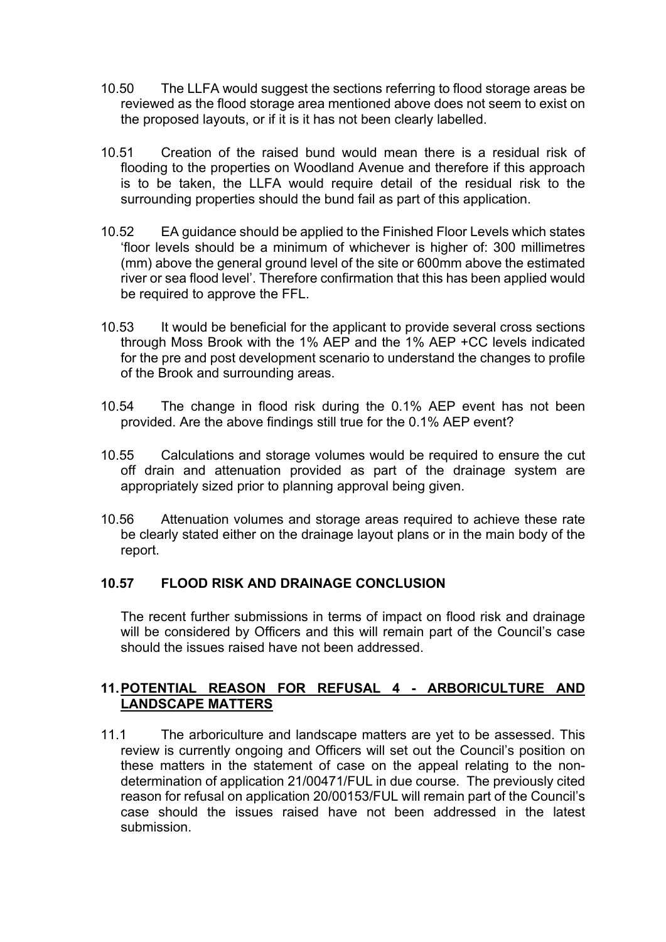- 10.50 The LLFA would suggest the sections referring to flood storage areas be reviewed as the flood storage area mentioned above does not seem to exist on the proposed layouts, or if it is it has not been clearly labelled.
- 10.51 Creation of the raised bund would mean there is a residual risk of flooding to the properties on Woodland Avenue and therefore if this approach is to be taken, the LLFA would require detail of the residual risk to the surrounding properties should the bund fail as part of this application.
- 10.52 EA guidance should be applied to the Finished Floor Levels which states 'floor levels should be a minimum of whichever is higher of: 300 millimetres (mm) above the general ground level of the site or 600mm above the estimated river or sea flood level'. Therefore confirmation that this has been applied would be required to approve the FFL.
- 10.53 It would be beneficial for the applicant to provide several cross sections through Moss Brook with the 1% AEP and the 1% AEP +CC levels indicated for the pre and post development scenario to understand the changes to profile of the Brook and surrounding areas.
- 10.54 The change in flood risk during the 0.1% AEP event has not been provided. Are the above findings still true for the 0.1% AEP event?
- 10.55 Calculations and storage volumes would be required to ensure the cut off drain and attenuation provided as part of the drainage system are appropriately sized prior to planning approval being given.
- 10.56 Attenuation volumes and storage areas required to achieve these rate be clearly stated either on the drainage layout plans or in the main body of the report.

## **10.57 FLOOD RISK AND DRAINAGE CONCLUSION**

The recent further submissions in terms of impact on flood risk and drainage will be considered by Officers and this will remain part of the Council's case should the issues raised have not been addressed.

### **11.POTENTIAL REASON FOR REFUSAL 4 - ARBORICULTURE AND LANDSCAPE MATTERS**

11.1 The arboriculture and landscape matters are yet to be assessed. This review is currently ongoing and Officers will set out the Council's position on these matters in the statement of case on the appeal relating to the nondetermination of application 21/00471/FUL in due course. The previously cited reason for refusal on application 20/00153/FUL will remain part of the Council's case should the issues raised have not been addressed in the latest submission.